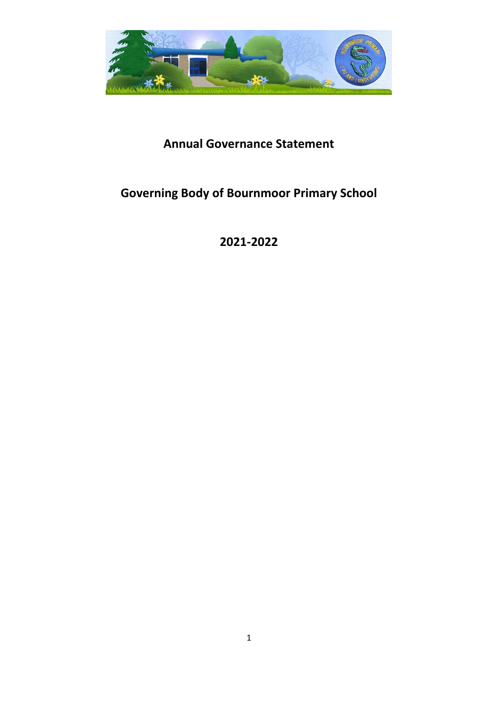

## **Annual Governance Statement**

# **Governing Body of Bournmoor Primary School**

**2021-2022**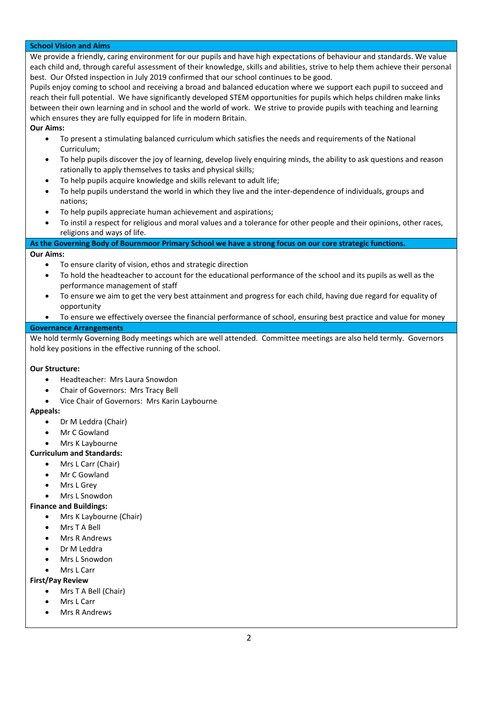#### **School Vision and Aims**

We provide a friendly, caring environment for our pupils and have high expectations of behaviour and standards. We value each child and, through careful assessment of their knowledge, skills and abilities, strive to help them achieve their personal best. Our Ofsted inspection in July 2019 confirmed that our school continues to be good.

Pupils enjoy coming to school and receiving a broad and balanced education where we support each pupil to succeed and reach their full potential. We have significantly developed STEM opportunities for pupils which helps children make links between their own learning and in school and the world of work. We strive to provide pupils with teaching and learning which ensures they are fully equipped for life in modern Britain.

#### **Our Aims:**

- To present a stimulating balanced curriculum which satisfies the needs and requirements of the National Curriculum;
- To help pupils discover the joy of learning, develop lively enquiring minds, the ability to ask questions and reason rationally to apply themselves to tasks and physical skills;
- To help pupils acquire knowledge and skills relevant to adult life;
- To help pupils understand the world in which they live and the inter-dependence of individuals, groups and nations;
- To help pupils appreciate human achievement and aspirations;
- To instil a respect for religious and moral values and a tolerance for other people and their opinions, other races, religions and ways of life.

### **As the Governing Body of Bournmoor Primary School we have a strong focus on our core strategic functions.**

**Our Aims:**

- To ensure clarity of vision, ethos and strategic direction
- To hold the headteacher to account for the educational performance of the school and its pupils as well as the performance management of staff
- To ensure we aim to get the very best attainment and progress for each child, having due regard for equality of opportunity
- To ensure we effectively oversee the financial performance of school, ensuring best practice and value for money

#### **Governance Arrangements**

We hold termly Governing Body meetings which are well attended. Committee meetings are also held termly. Governors hold key positions in the effective running of the school.

#### **Our Structure:**

- Headteacher: Mrs Laura Snowdon
- Chair of Governors: Mrs Tracy Bell
- Vice Chair of Governors: Mrs Karin Laybourne

#### **Appeals:**

- Dr M Leddra (Chair)
- Mr C Gowland
- Mrs K Laybourne

#### **Curriculum and Standards:**

- Mrs L Carr (Chair)
	- Mr C Gowland
	- **Mrs L Grev**
	- Mrs L Snowdon

#### **Finance and Buildings:**

- Mrs K Laybourne (Chair)
- Mrs T A Bell
- Mrs R Andrews
- Dr M Leddra
- Mrs L Snowdon
- Mrs L Carr

#### **First/Pay Review**

- Mrs T A Bell (Chair)
- Mrs L Carr
- Mrs R Andrews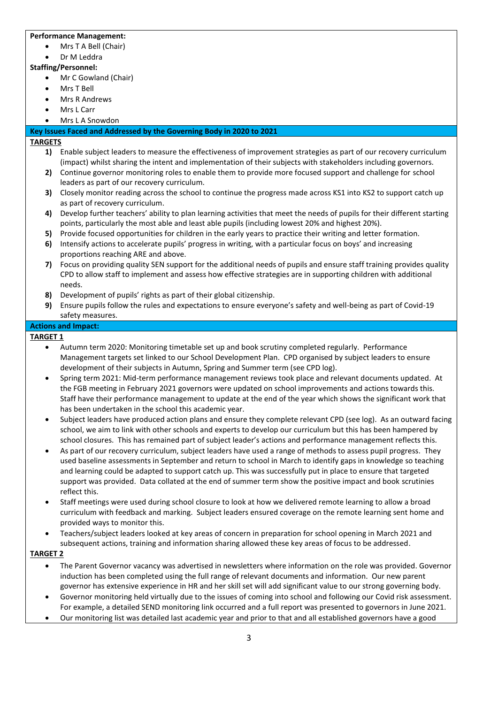#### **Performance Management:**

- Mrs T A Bell (Chair)
- Dr M Leddra

#### **Staffing/Personnel:**

- Mr C Gowland (Chair)
- Mrs T Bell
- Mrs R Andrews
- Mrs L Carr
- Mrs L A Snowdon

#### **Key Issues Faced and Addressed by the Governing Body in 2020 to 2021**

#### **TARGETS**

- **1)** Enable subject leaders to measure the effectiveness of improvement strategies as part of our recovery curriculum (impact) whilst sharing the intent and implementation of their subjects with stakeholders including governors.
- **2)** Continue governor monitoring roles to enable them to provide more focused support and challenge for school leaders as part of our recovery curriculum.
- **3)** Closely monitor reading across the school to continue the progress made across KS1 into KS2 to support catch up as part of recovery curriculum.
- **4)** Develop further teachers' ability to plan learning activities that meet the needs of pupils for their different starting points, particularly the most able and least able pupils (including lowest 20% and highest 20%).
- **5)** Provide focused opportunities for children in the early years to practice their writing and letter formation.
- **6)** Intensify actions to accelerate pupils' progress in writing, with a particular focus on boys' and increasing proportions reaching ARE and above.
- **7)** Focus on providing quality SEN support for the additional needs of pupils and ensure staff training provides quality CPD to allow staff to implement and assess how effective strategies are in supporting children with additional needs.
- **8)** Development of pupils' rights as part of their global citizenship.
- **9)** Ensure pupils follow the rules and expectations to ensure everyone's safety and well-being as part of Covid-19 safety measures.

#### **Actions and Impact:**

#### **TARGET 1**

- Autumn term 2020: Monitoring timetable set up and book scrutiny completed regularly. Performance Management targets set linked to our School Development Plan. CPD organised by subject leaders to ensure development of their subjects in Autumn, Spring and Summer term (see CPD log).
- Spring term 2021: Mid-term performance management reviews took place and relevant documents updated. At the FGB meeting in February 2021 governors were updated on school improvements and actions towards this. Staff have their performance management to update at the end of the year which shows the significant work that has been undertaken in the school this academic year.
- Subject leaders have produced action plans and ensure they complete relevant CPD (see log). As an outward facing school, we aim to link with other schools and experts to develop our curriculum but this has been hampered by school closures. This has remained part of subject leader's actions and performance management reflects this.
- As part of our recovery curriculum, subject leaders have used a range of methods to assess pupil progress. They used baseline assessments in September and return to school in March to identify gaps in knowledge so teaching and learning could be adapted to support catch up. This was successfully put in place to ensure that targeted support was provided. Data collated at the end of summer term show the positive impact and book scrutinies reflect this.
- Staff meetings were used during school closure to look at how we delivered remote learning to allow a broad curriculum with feedback and marking. Subject leaders ensured coverage on the remote learning sent home and provided ways to monitor this.
- Teachers/subject leaders looked at key areas of concern in preparation for school opening in March 2021 and subsequent actions, training and information sharing allowed these key areas of focus to be addressed.

#### **TARGET 2**

- The Parent Governor vacancy was advertised in newsletters where information on the role was provided. Governor induction has been completed using the full range of relevant documents and information. Our new parent governor has extensive experience in HR and her skill set will add significant value to our strong governing body.
- Governor monitoring held virtually due to the issues of coming into school and following our Covid risk assessment. For example, a detailed SEND monitoring link occurred and a full report was presented to governors in June 2021.
- Our monitoring list was detailed last academic year and prior to that and all established governors have a good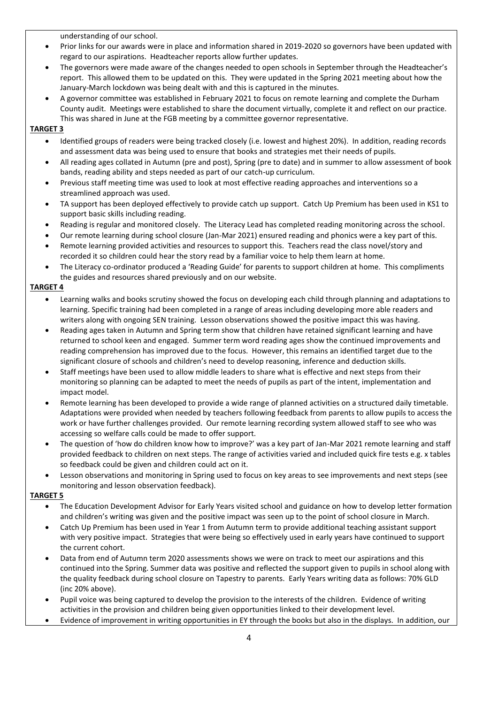understanding of our school.

- Prior links for our awards were in place and information shared in 2019-2020 so governors have been updated with regard to our aspirations. Headteacher reports allow further updates.
- The governors were made aware of the changes needed to open schools in September through the Headteacher's report. This allowed them to be updated on this. They were updated in the Spring 2021 meeting about how the January-March lockdown was being dealt with and this is captured in the minutes.
- A governor committee was established in February 2021 to focus on remote learning and complete the Durham County audit. Meetings were established to share the document virtually, complete it and reflect on our practice. This was shared in June at the FGB meeting by a committee governor representative.

#### **TARGET 3**

- Identified groups of readers were being tracked closely (i.e. lowest and highest 20%). In addition, reading records and assessment data was being used to ensure that books and strategies met their needs of pupils.
- All reading ages collated in Autumn (pre and post), Spring (pre to date) and in summer to allow assessment of book bands, reading ability and steps needed as part of our catch-up curriculum.
- Previous staff meeting time was used to look at most effective reading approaches and interventions so a streamlined approach was used.
- TA support has been deployed effectively to provide catch up support. Catch Up Premium has been used in KS1 to support basic skills including reading.
- Reading is regular and monitored closely. The Literacy Lead has completed reading monitoring across the school.
- Our remote learning during school closure (Jan-Mar 2021) ensured reading and phonics were a key part of this.
- Remote learning provided activities and resources to support this. Teachers read the class novel/story and recorded it so children could hear the story read by a familiar voice to help them learn at home.
- The Literacy co-ordinator produced a 'Reading Guide' for parents to support children at home. This compliments the guides and resources shared previously and on our website.

#### **TARGET 4**

- Learning walks and books scrutiny showed the focus on developing each child through planning and adaptations to learning. Specific training had been completed in a range of areas including developing more able readers and writers along with ongoing SEN training. Lesson observations showed the positive impact this was having.
- Reading ages taken in Autumn and Spring term show that children have retained significant learning and have returned to school keen and engaged. Summer term word reading ages show the continued improvements and reading comprehension has improved due to the focus. However, this remains an identified target due to the significant closure of schools and children's need to develop reasoning, inference and deduction skills.
- Staff meetings have been used to allow middle leaders to share what is effective and next steps from their monitoring so planning can be adapted to meet the needs of pupils as part of the intent, implementation and impact model.
- Remote learning has been developed to provide a wide range of planned activities on a structured daily timetable. Adaptations were provided when needed by teachers following feedback from parents to allow pupils to access the work or have further challenges provided. Our remote learning recording system allowed staff to see who was accessing so welfare calls could be made to offer support.
- The question of 'how do children know how to improve?' was a key part of Jan-Mar 2021 remote learning and staff provided feedback to children on next steps. The range of activities varied and included quick fire tests e.g. x tables so feedback could be given and children could act on it.
- Lesson observations and monitoring in Spring used to focus on key areas to see improvements and next steps (see monitoring and lesson observation feedback).

#### **TARGET 5**

- The Education Development Advisor for Early Years visited school and guidance on how to develop letter formation and children's writing was given and the positive impact was seen up to the point of school closure in March.
- Catch Up Premium has been used in Year 1 from Autumn term to provide additional teaching assistant support with very positive impact. Strategies that were being so effectively used in early years have continued to support the current cohort.
- Data from end of Autumn term 2020 assessments shows we were on track to meet our aspirations and this continued into the Spring. Summer data was positive and reflected the support given to pupils in school along with the quality feedback during school closure on Tapestry to parents. Early Years writing data as follows: 70% GLD (inc 20% above).
- Pupil voice was being captured to develop the provision to the interests of the children. Evidence of writing activities in the provision and children being given opportunities linked to their development level.
- Evidence of improvement in writing opportunities in EY through the books but also in the displays. In addition, our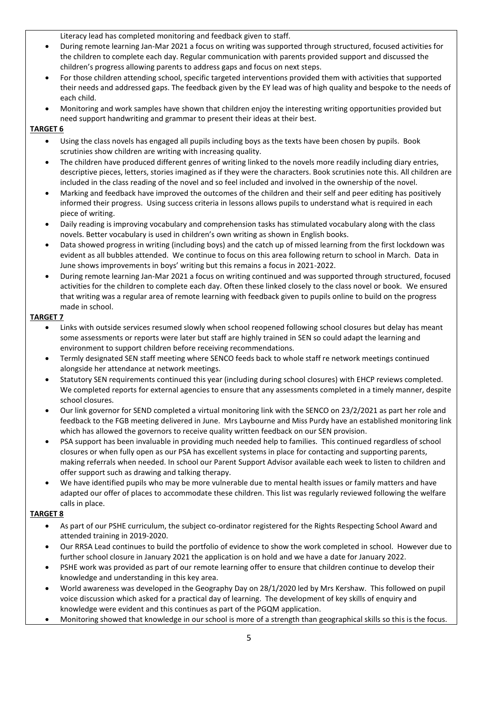Literacy lead has completed monitoring and feedback given to staff.

- During remote learning Jan-Mar 2021 a focus on writing was supported through structured, focused activities for the children to complete each day. Regular communication with parents provided support and discussed the children's progress allowing parents to address gaps and focus on next steps.
- For those children attending school, specific targeted interventions provided them with activities that supported their needs and addressed gaps. The feedback given by the EY lead was of high quality and bespoke to the needs of each child.
- Monitoring and work samples have shown that children enjoy the interesting writing opportunities provided but need support handwriting and grammar to present their ideas at their best.

#### **TARGET 6**

- Using the class novels has engaged all pupils including boys as the texts have been chosen by pupils. Book scrutinies show children are writing with increasing quality.
- The children have produced different genres of writing linked to the novels more readily including diary entries, descriptive pieces, letters, stories imagined as if they were the characters. Book scrutinies note this. All children are included in the class reading of the novel and so feel included and involved in the ownership of the novel.
- Marking and feedback have improved the outcomes of the children and their self and peer editing has positively informed their progress. Using success criteria in lessons allows pupils to understand what is required in each piece of writing.
- Daily reading is improving vocabulary and comprehension tasks has stimulated vocabulary along with the class novels. Better vocabulary is used in children's own writing as shown in English books.
- Data showed progress in writing (including boys) and the catch up of missed learning from the first lockdown was evident as all bubbles attended. We continue to focus on this area following return to school in March. Data in June shows improvements in boys' writing but this remains a focus in 2021-2022.
- During remote learning Jan-Mar 2021 a focus on writing continued and was supported through structured, focused activities for the children to complete each day. Often these linked closely to the class novel or book. We ensured that writing was a regular area of remote learning with feedback given to pupils online to build on the progress made in school.

#### **TARGET 7**

- Links with outside services resumed slowly when school reopened following school closures but delay has meant some assessments or reports were later but staff are highly trained in SEN so could adapt the learning and environment to support children before receiving recommendations.
- Termly designated SEN staff meeting where SENCO feeds back to whole staff re network meetings continued alongside her attendance at network meetings.
- Statutory SEN requirements continued this year (including during school closures) with EHCP reviews completed. We completed reports for external agencies to ensure that any assessments completed in a timely manner, despite school closures.
- Our link governor for SEND completed a virtual monitoring link with the SENCO on 23/2/2021 as part her role and feedback to the FGB meeting delivered in June. Mrs Laybourne and Miss Purdy have an established monitoring link which has allowed the governors to receive quality written feedback on our SEN provision.
- PSA support has been invaluable in providing much needed help to families. This continued regardless of school closures or when fully open as our PSA has excellent systems in place for contacting and supporting parents, making referrals when needed. In school our Parent Support Advisor available each week to listen to children and offer support such as drawing and talking therapy.
- We have identified pupils who may be more vulnerable due to mental health issues or family matters and have adapted our offer of places to accommodate these children. This list was regularly reviewed following the welfare calls in place.

#### **TARGET 8**

- As part of our PSHE curriculum, the subject co-ordinator registered for the Rights Respecting School Award and attended training in 2019-2020.
- Our RRSA Lead continues to build the portfolio of evidence to show the work completed in school. However due to further school closure in January 2021 the application is on hold and we have a date for January 2022.
- PSHE work was provided as part of our remote learning offer to ensure that children continue to develop their knowledge and understanding in this key area.
- World awareness was developed in the Geography Day on 28/1/2020 led by Mrs Kershaw. This followed on pupil voice discussion which asked for a practical day of learning. The development of key skills of enquiry and knowledge were evident and this continues as part of the PGQM application.
- Monitoring showed that knowledge in our school is more of a strength than geographical skills so this is the focus.